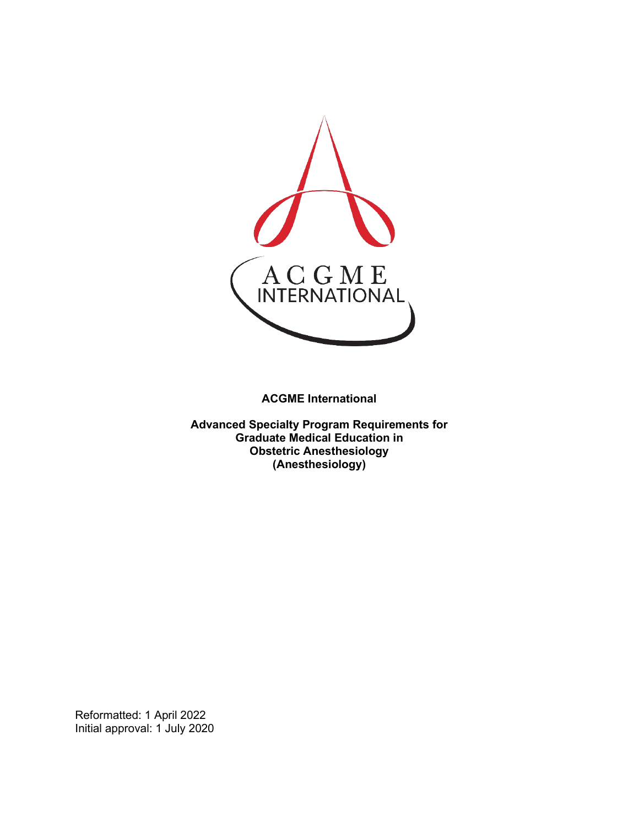

**ACGME International** 

**Advanced Specialty Program Requirements for Graduate Medical Education in Obstetric Anesthesiology (Anesthesiology)**

Reformatted: 1 April 2022 Initial approval: 1 July 2020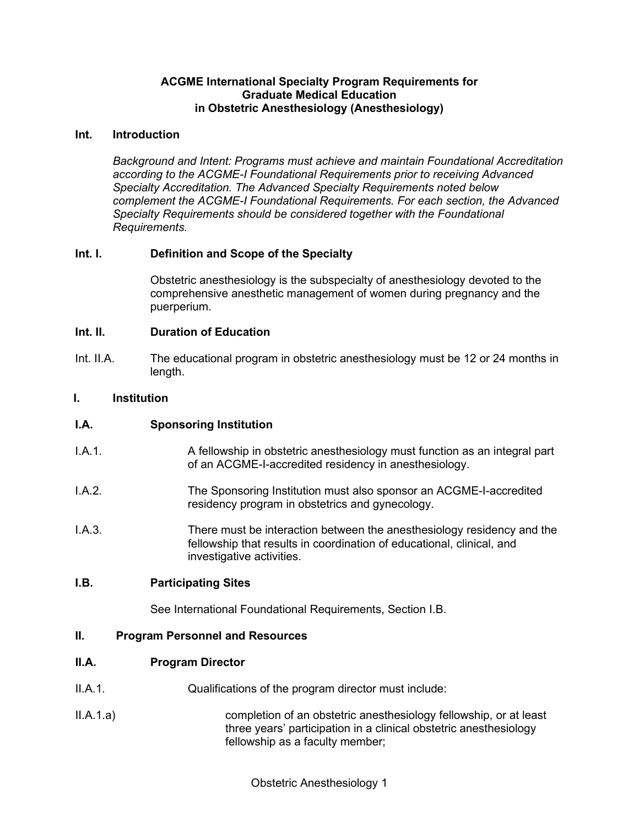## **ACGME International Specialty Program Requirements for Graduate Medical Education in Obstetric Anesthesiology (Anesthesiology)**

## **Int. Introduction**

*Background and Intent: Programs must achieve and maintain Foundational Accreditation according to the ACGME-I Foundational Requirements prior to receiving Advanced Specialty Accreditation. The Advanced Specialty Requirements noted below complement the ACGME-I Foundational Requirements. For each section, the Advanced Specialty Requirements should be considered together with the Foundational Requirements.*

# **Int. I. Definition and Scope of the Specialty**

Obstetric anesthesiology is the subspecialty of anesthesiology devoted to the comprehensive anesthetic management of women during pregnancy and the puerperium.

#### **Int. II. Duration of Education**

Int. II.A. The educational program in obstetric anesthesiology must be 12 or 24 months in length.

## **I. Institution**

## **I.A. Sponsoring Institution**

- I.A.1. A fellowship in obstetric anesthesiology must function as an integral part of an ACGME-I-accredited residency in anesthesiology.
- I.A.2. The Sponsoring Institution must also sponsor an ACGME-I-accredited residency program in obstetrics and gynecology.
- I.A.3. There must be interaction between the anesthesiology residency and the fellowship that results in coordination of educational, clinical, and investigative activities.

## **I.B. Participating Sites**

See International Foundational Requirements, Section I.B.

#### **II. Program Personnel and Resources**

#### **II.A. Program Director**

- II.A.1. Qualifications of the program director must include:
- II.A.1.a) completion of an obstetric anesthesiology fellowship, or at least three years' participation in a clinical obstetric anesthesiology fellowship as a faculty member;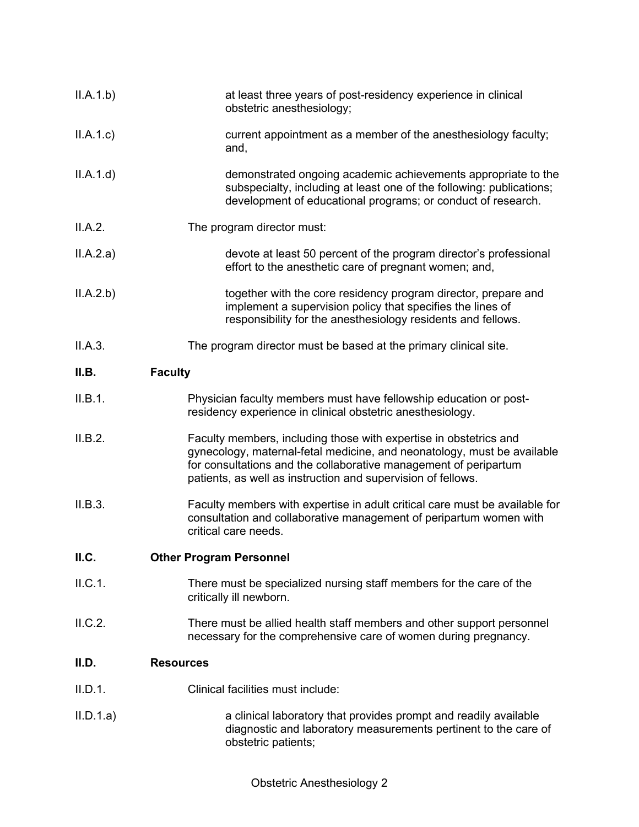| II.A.1.b) | at least three years of post-residency experience in clinical<br>obstetric anesthesiology;                                                                                                                                                                                       |
|-----------|----------------------------------------------------------------------------------------------------------------------------------------------------------------------------------------------------------------------------------------------------------------------------------|
| II.A.1.c  | current appointment as a member of the anesthesiology faculty;<br>and,                                                                                                                                                                                                           |
| II.A.1.d  | demonstrated ongoing academic achievements appropriate to the<br>subspecialty, including at least one of the following: publications;<br>development of educational programs; or conduct of research.                                                                            |
| II.A.2.   | The program director must:                                                                                                                                                                                                                                                       |
| II.A.2.a) | devote at least 50 percent of the program director's professional<br>effort to the anesthetic care of pregnant women; and,                                                                                                                                                       |
| II.A.2.b) | together with the core residency program director, prepare and<br>implement a supervision policy that specifies the lines of<br>responsibility for the anesthesiology residents and fellows.                                                                                     |
| II.A.3.   | The program director must be based at the primary clinical site.                                                                                                                                                                                                                 |
| II.B.     | <b>Faculty</b>                                                                                                                                                                                                                                                                   |
| II.B.1.   | Physician faculty members must have fellowship education or post-<br>residency experience in clinical obstetric anesthesiology.                                                                                                                                                  |
| II.B.2.   | Faculty members, including those with expertise in obstetrics and<br>gynecology, maternal-fetal medicine, and neonatology, must be available<br>for consultations and the collaborative management of peripartum<br>patients, as well as instruction and supervision of fellows. |
| II.B.3.   | Faculty members with expertise in adult critical care must be available for<br>consultation and collaborative management of peripartum women with<br>critical care needs.                                                                                                        |
| II.C.     | <b>Other Program Personnel</b>                                                                                                                                                                                                                                                   |
| II.C.1.   | There must be specialized nursing staff members for the care of the<br>critically ill newborn.                                                                                                                                                                                   |
| II.C.2.   | There must be allied health staff members and other support personnel<br>necessary for the comprehensive care of women during pregnancy.                                                                                                                                         |
| II.D.     | <b>Resources</b>                                                                                                                                                                                                                                                                 |
| II.D.1.   | Clinical facilities must include:                                                                                                                                                                                                                                                |
| II.D.1.a) | a clinical laboratory that provides prompt and readily available<br>diagnostic and laboratory measurements pertinent to the care of<br>obstetric patients;                                                                                                                       |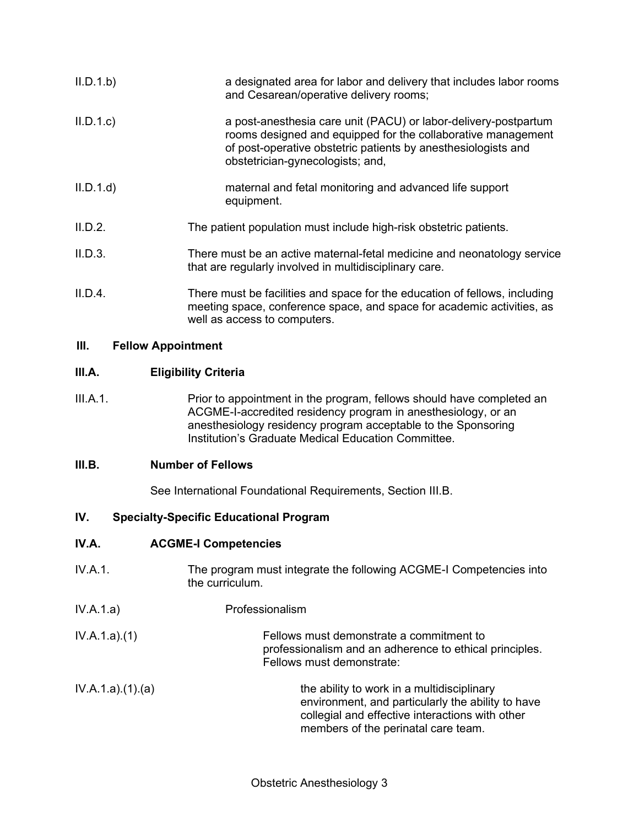| II.D.1.b) | a designated area for labor and delivery that includes labor rooms<br>and Cesarean/operative delivery rooms;                                                                                                                         |
|-----------|--------------------------------------------------------------------------------------------------------------------------------------------------------------------------------------------------------------------------------------|
| II.D.1.c  | a post-anesthesia care unit (PACU) or labor-delivery-postpartum<br>rooms designed and equipped for the collaborative management<br>of post-operative obstetric patients by anesthesiologists and<br>obstetrician-gynecologists; and, |
| II.D.1.d  | maternal and fetal monitoring and advanced life support<br>equipment.                                                                                                                                                                |
| II.D.2.   | The patient population must include high-risk obstetric patients.                                                                                                                                                                    |
| II.D.3.   | There must be an active maternal-fetal medicine and neonatology service<br>that are regularly involved in multidisciplinary care.                                                                                                    |
| II.D.4.   | There must be facilities and space for the education of fellows, including<br>meeting space, conference space, and space for academic activities, as<br>well as access to computers.                                                 |

## **III. Fellow Appointment**

## **III.A. Eligibility Criteria**

III.A.1. Prior to appointment in the program, fellows should have completed an ACGME-I-accredited residency program in anesthesiology, or an anesthesiology residency program acceptable to the Sponsoring Institution's Graduate Medical Education Committee.

## **III.B. Number of Fellows**

See International Foundational Requirements, Section III.B.

# **IV. Specialty-Specific Educational Program**

# **IV.A. ACGME-I Competencies**

- IV.A.1. The program must integrate the following ACGME-I Competencies into the curriculum.
- IV.A.1.a) Professionalism
- IV.A.1.a).(1) Fellows must demonstrate a commitment to professionalism and an adherence to ethical principles. Fellows must demonstrate:
- $IV.A.1.a)(1)(a)$  the ability to work in a multidisciplinary environment, and particularly the ability to have collegial and effective interactions with other members of the perinatal care team.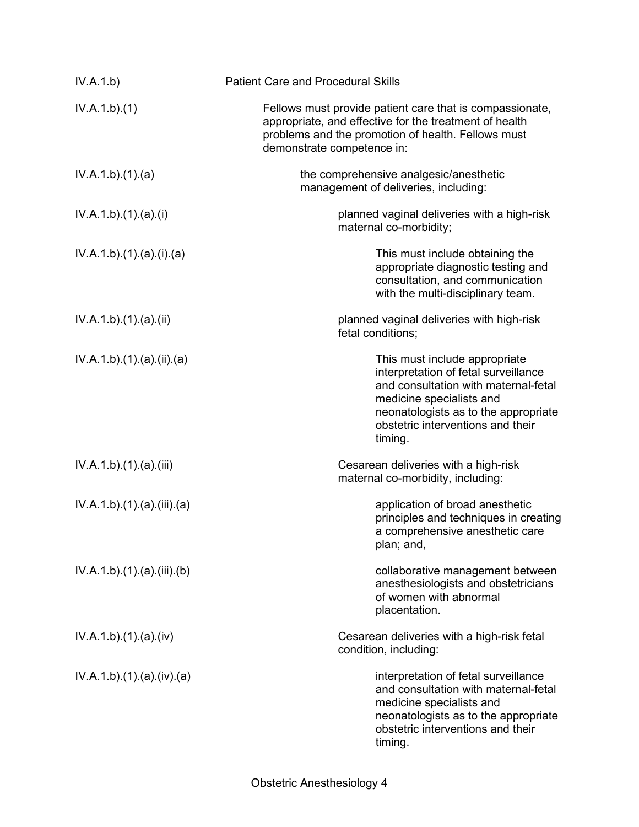| IV.A.1.b)               | <b>Patient Care and Procedural Skills</b>                                                                                                                                                                                         |
|-------------------------|-----------------------------------------------------------------------------------------------------------------------------------------------------------------------------------------------------------------------------------|
| IV.A.1.b)(1)            | Fellows must provide patient care that is compassionate,<br>appropriate, and effective for the treatment of health<br>problems and the promotion of health. Fellows must<br>demonstrate competence in:                            |
| IV.A.1.b)(1)(a)         | the comprehensive analgesic/anesthetic<br>management of deliveries, including:                                                                                                                                                    |
| IV.A.1.b)(1).(a)(i)     | planned vaginal deliveries with a high-risk<br>maternal co-morbidity;                                                                                                                                                             |
| IV.A.1.b)(1)(a)(i)(a)   | This must include obtaining the<br>appropriate diagnostic testing and<br>consultation, and communication<br>with the multi-disciplinary team.                                                                                     |
| IV.A.1.b)(1)(a)(ii)     | planned vaginal deliveries with high-risk<br>fetal conditions;                                                                                                                                                                    |
| IV.A.1.b)(1)(a)(ii)(a)  | This must include appropriate<br>interpretation of fetal surveillance<br>and consultation with maternal-fetal<br>medicine specialists and<br>neonatologists as to the appropriate<br>obstetric interventions and their<br>timing. |
| IV.A.1.b)(1)(a)(iii)    | Cesarean deliveries with a high-risk<br>maternal co-morbidity, including:                                                                                                                                                         |
| IV.A.1.b)(1)(a)(iii)(a) | application of broad anesthetic<br>principles and techniques in creating<br>a comprehensive anesthetic care<br>plan; and,                                                                                                         |
| IV.A.1.b)(1)(a)(iii)(b) | collaborative management between<br>anesthesiologists and obstetricians<br>of women with abnormal<br>placentation.                                                                                                                |
| IV.A.1.b) (1) (a) (iv)  | Cesarean deliveries with a high-risk fetal<br>condition, including:                                                                                                                                                               |
| IV.A.1.b)(1)(a)(iv)(a)  | interpretation of fetal surveillance<br>and consultation with maternal-fetal<br>medicine specialists and<br>neonatologists as to the appropriate<br>obstetric interventions and their<br>timing.                                  |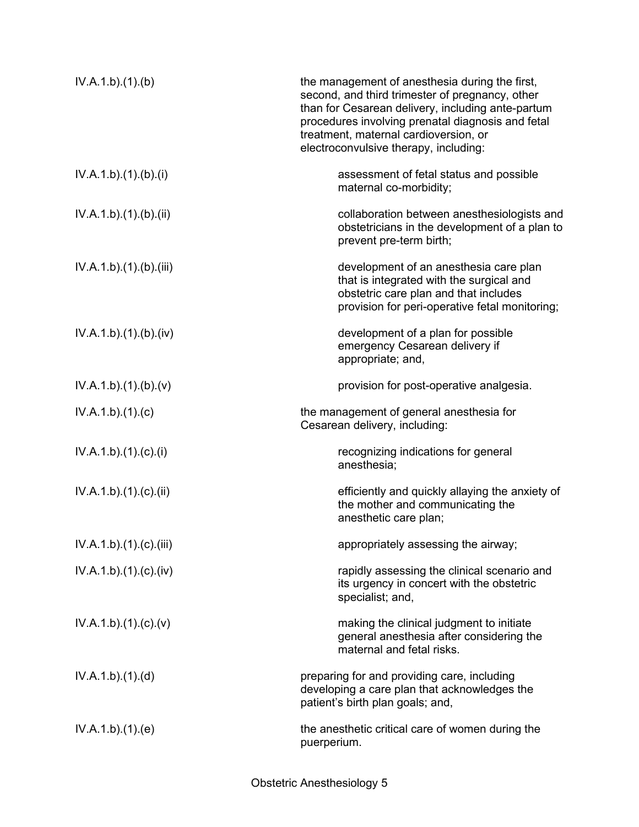| IV.A.1.b)(1)(b)         | the management of anesthesia during the first,<br>second, and third trimester of pregnancy, other<br>than for Cesarean delivery, including ante-partum<br>procedures involving prenatal diagnosis and fetal<br>treatment, maternal cardioversion, or<br>electroconvulsive therapy, including: |
|-------------------------|-----------------------------------------------------------------------------------------------------------------------------------------------------------------------------------------------------------------------------------------------------------------------------------------------|
| IV.A.1.b)(1)(b)(i)      | assessment of fetal status and possible<br>maternal co-morbidity;                                                                                                                                                                                                                             |
| IV.A.1.b)(1)(b)(ii)     | collaboration between anesthesiologists and<br>obstetricians in the development of a plan to<br>prevent pre-term birth;                                                                                                                                                                       |
| IV.A.1.b)(1)(b)(iii)    | development of an anesthesia care plan<br>that is integrated with the surgical and<br>obstetric care plan and that includes<br>provision for peri-operative fetal monitoring;                                                                                                                 |
| IV.A.1.b)(1)(b)(iv)     | development of a plan for possible<br>emergency Cesarean delivery if<br>appropriate; and,                                                                                                                                                                                                     |
| IV.A.1.b)(1)(b)(v)      | provision for post-operative analgesia.                                                                                                                                                                                                                                                       |
| IV.A.1.b)(1)(c)         | the management of general anesthesia for<br>Cesarean delivery, including:                                                                                                                                                                                                                     |
| IV.A.1.b)(1)(c)(i)      | recognizing indications for general<br>anesthesia;                                                                                                                                                                                                                                            |
| IV.A.1.b)(1)(c)(ii)     | efficiently and quickly allaying the anxiety of<br>the mother and communicating the<br>anesthetic care plan;                                                                                                                                                                                  |
| IV.A.1.b).(1).(c).(iii) | appropriately assessing the airway;                                                                                                                                                                                                                                                           |
| IV.A.1.b)(1)(c)(iv)     | rapidly assessing the clinical scenario and<br>its urgency in concert with the obstetric<br>specialist; and,                                                                                                                                                                                  |
| IV.A.1.b)(1)(c)(v)      | making the clinical judgment to initiate<br>general anesthesia after considering the<br>maternal and fetal risks.                                                                                                                                                                             |
| IV.A.1.b)(1)(d)         | preparing for and providing care, including<br>developing a care plan that acknowledges the<br>patient's birth plan goals; and,                                                                                                                                                               |
| IV.A.1.b)(1)(e)         | the anesthetic critical care of women during the<br>puerperium.                                                                                                                                                                                                                               |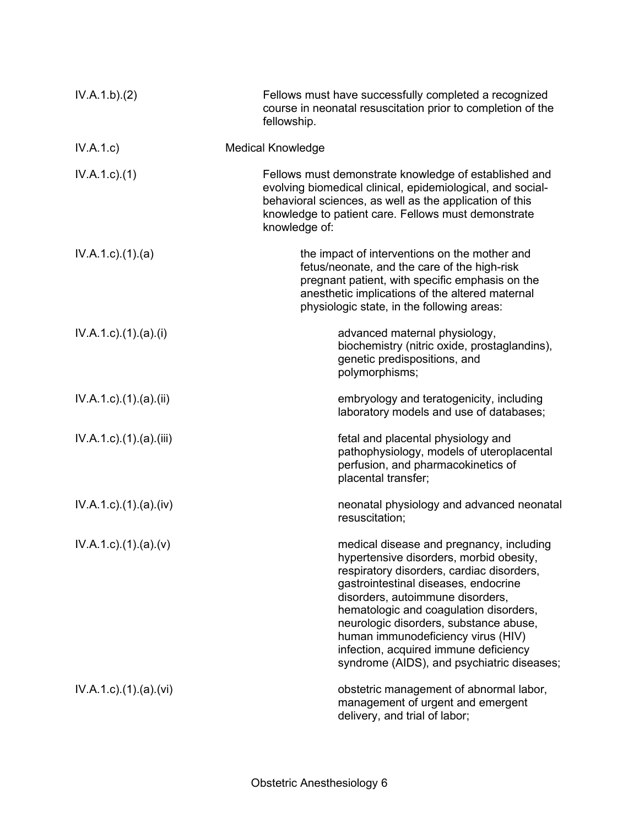| IV.A.1.b)(2)                       | Fellows must have successfully completed a recognized<br>course in neonatal resuscitation prior to completion of the<br>fellowship.                                                                                                                                                                                                                                                                                           |
|------------------------------------|-------------------------------------------------------------------------------------------------------------------------------------------------------------------------------------------------------------------------------------------------------------------------------------------------------------------------------------------------------------------------------------------------------------------------------|
| IV.A.1.c)                          | <b>Medical Knowledge</b>                                                                                                                                                                                                                                                                                                                                                                                                      |
| $IV.A.1.c.$ (1)                    | Fellows must demonstrate knowledge of established and<br>evolving biomedical clinical, epidemiological, and social-<br>behavioral sciences, as well as the application of this<br>knowledge to patient care. Fellows must demonstrate<br>knowledge of:                                                                                                                                                                        |
| $IV.A.1.c.$ (1).(a)                | the impact of interventions on the mother and<br>fetus/neonate, and the care of the high-risk<br>pregnant patient, with specific emphasis on the<br>anesthetic implications of the altered maternal<br>physiologic state, in the following areas:                                                                                                                                                                             |
| $IV.A.1.c$ ). $(1).$ (a). $(i)$    | advanced maternal physiology,<br>biochemistry (nitric oxide, prostaglandins),<br>genetic predispositions, and<br>polymorphisms;                                                                                                                                                                                                                                                                                               |
| $IV.A.1.c$ ). $(1).$ (a). $(ii)$   | embryology and teratogenicity, including<br>laboratory models and use of databases;                                                                                                                                                                                                                                                                                                                                           |
| $IV.A.1.c$ . $(1).$ (a). $(iii)$   | fetal and placental physiology and<br>pathophysiology, models of uteroplacental<br>perfusion, and pharmacokinetics of<br>placental transfer;                                                                                                                                                                                                                                                                                  |
| $IV.A.1.c$ . $(1).$ $(a).$ $(iv)$  | neonatal physiology and advanced neonatal<br>resuscitation;                                                                                                                                                                                                                                                                                                                                                                   |
| $IV.A.1.c$ ). $(1).$ $(a)$ . $(v)$ | medical disease and pregnancy, including<br>hypertensive disorders, morbid obesity,<br>respiratory disorders, cardiac disorders,<br>gastrointestinal diseases, endocrine<br>disorders, autoimmune disorders,<br>hematologic and coagulation disorders,<br>neurologic disorders, substance abuse,<br>human immunodeficiency virus (HIV)<br>infection, acquired immune deficiency<br>syndrome (AIDS), and psychiatric diseases; |
| $IV.A.1.c$ . $(1).$ $(a).$ $(vi)$  | obstetric management of abnormal labor,<br>management of urgent and emergent<br>delivery, and trial of labor;                                                                                                                                                                                                                                                                                                                 |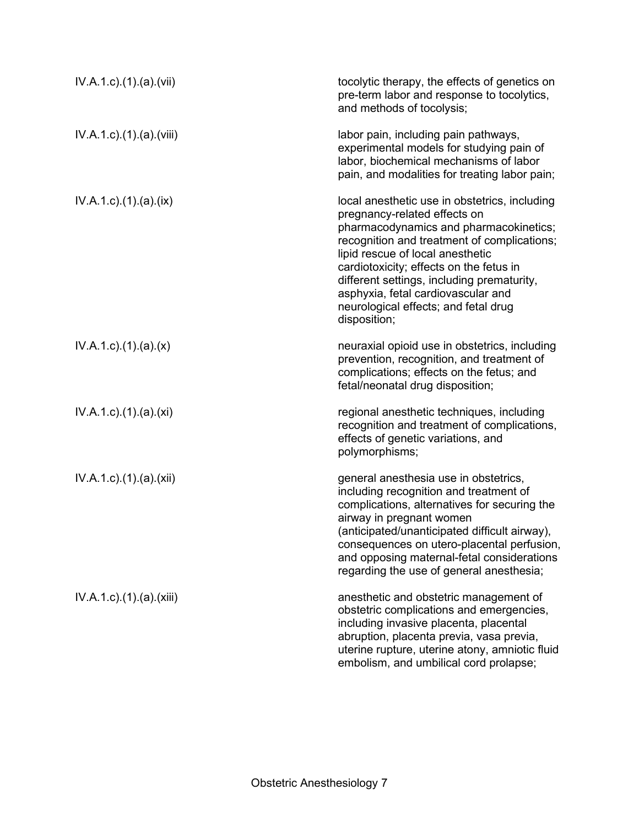| $IV.A.1.c$ . $(1).$ $(a).$ $(vii)$  | tocolytic therapy, the effects of genetics on<br>pre-term labor and response to tocolytics,<br>and methods of tocolysis;                                                                                                                                                                                                                                                                          |
|-------------------------------------|---------------------------------------------------------------------------------------------------------------------------------------------------------------------------------------------------------------------------------------------------------------------------------------------------------------------------------------------------------------------------------------------------|
| $IV.A.1.c$ . $(1).$ $(a).$ $(viii)$ | labor pain, including pain pathways,<br>experimental models for studying pain of<br>labor, biochemical mechanisms of labor<br>pain, and modalities for treating labor pain;                                                                                                                                                                                                                       |
| $IV.A.1.c$ . $(1).$ $(a).$ $(ix)$   | local anesthetic use in obstetrics, including<br>pregnancy-related effects on<br>pharmacodynamics and pharmacokinetics;<br>recognition and treatment of complications;<br>lipid rescue of local anesthetic<br>cardiotoxicity; effects on the fetus in<br>different settings, including prematurity,<br>asphyxia, fetal cardiovascular and<br>neurological effects; and fetal drug<br>disposition; |
| $IV.A.1.c$ . $(1).$ $(a).$ $(x)$    | neuraxial opioid use in obstetrics, including<br>prevention, recognition, and treatment of<br>complications; effects on the fetus; and<br>fetal/neonatal drug disposition;                                                                                                                                                                                                                        |
| IV.A.1.c).(1).(a).(xi)              | regional anesthetic techniques, including<br>recognition and treatment of complications,<br>effects of genetic variations, and<br>polymorphisms;                                                                                                                                                                                                                                                  |
| IV.A.1.c).(1).(a).(xii)             | general anesthesia use in obstetrics,<br>including recognition and treatment of<br>complications, alternatives for securing the<br>airway in pregnant women<br>(anticipated/unanticipated difficult airway),<br>consequences on utero-placental perfusion,<br>and opposing maternal-fetal considerations<br>regarding the use of general anesthesia;                                              |
| IV.A.1.c).(1).(a).(xiii)            | anesthetic and obstetric management of<br>obstetric complications and emergencies,<br>including invasive placenta, placental<br>abruption, placenta previa, vasa previa,<br>uterine rupture, uterine atony, amniotic fluid<br>embolism, and umbilical cord prolapse;                                                                                                                              |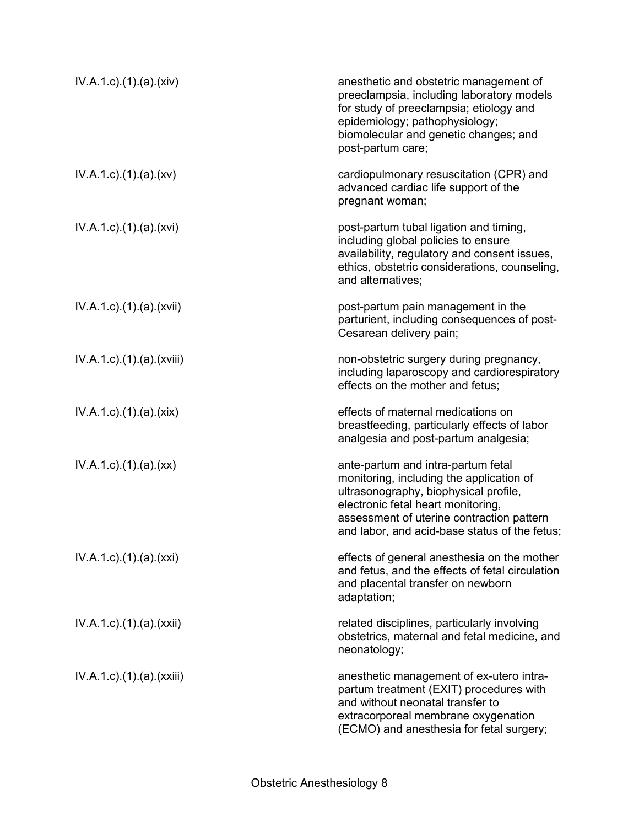| IV.A.1.c)(1)(a)(xiv)                 | anesthetic and obstetric management of<br>preeclampsia, including laboratory models<br>for study of preeclampsia; etiology and<br>epidemiology; pathophysiology;<br>biomolecular and genetic changes; and<br>post-partum care;                              |
|--------------------------------------|-------------------------------------------------------------------------------------------------------------------------------------------------------------------------------------------------------------------------------------------------------------|
| $IV.A.1.c$ . $(1).$ $(a).$ $(xv)$    | cardiopulmonary resuscitation (CPR) and<br>advanced cardiac life support of the<br>pregnant woman;                                                                                                                                                          |
| IV.A.1.c).(1).(a).(xvi)              | post-partum tubal ligation and timing,<br>including global policies to ensure<br>availability, regulatory and consent issues,<br>ethics, obstetric considerations, counseling,<br>and alternatives;                                                         |
| $IV.A.1.c$ . $(1).$ $(a).$ $(xvii)$  | post-partum pain management in the<br>parturient, including consequences of post-<br>Cesarean delivery pain;                                                                                                                                                |
| $IV.A.1.c$ . $(1).$ $(a).$ $(xviii)$ | non-obstetric surgery during pregnancy,<br>including laparoscopy and cardiorespiratory<br>effects on the mother and fetus;                                                                                                                                  |
| IV.A.1.c)(1)(a)(xix)                 | effects of maternal medications on<br>breastfeeding, particularly effects of labor<br>analgesia and post-partum analgesia;                                                                                                                                  |
| $IV.A.1.c$ . $(1).$ $(a).$ $(xx)$    | ante-partum and intra-partum fetal<br>monitoring, including the application of<br>ultrasonography, biophysical profile,<br>electronic fetal heart monitoring,<br>assessment of uterine contraction pattern<br>and labor, and acid-base status of the fetus; |
| IV.A.1.c).(1).(a).(xxi)              | effects of general anesthesia on the mother<br>and fetus, and the effects of fetal circulation<br>and placental transfer on newborn<br>adaptation;                                                                                                          |
| $IV.A.1.c$ . $(1).$ $(a).$ $(xxii)$  | related disciplines, particularly involving<br>obstetrics, maternal and fetal medicine, and<br>neonatology;                                                                                                                                                 |
| $IV.A.1.c$ . $(1).$ $(a).$ $(xxiii)$ | anesthetic management of ex-utero intra-<br>partum treatment (EXIT) procedures with<br>and without neonatal transfer to<br>extracorporeal membrane oxygenation<br>(ECMO) and anesthesia for fetal surgery;                                                  |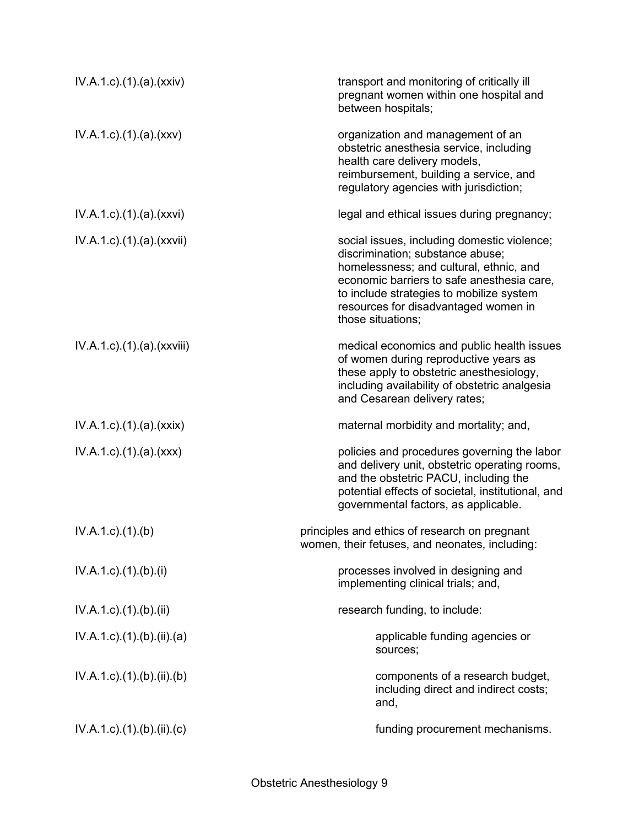| IV.A.1.c).(1).(a).(xxiv)                     | transport and monitoring of critically ill<br>pregnant women within one hospital and<br>between hospitals;                                                                                                                                                                        |
|----------------------------------------------|-----------------------------------------------------------------------------------------------------------------------------------------------------------------------------------------------------------------------------------------------------------------------------------|
| IV.A.1.c)(1)(a)(xxx)                         | organization and management of an<br>obstetric anesthesia service, including<br>health care delivery models,<br>reimbursement, building a service, and<br>regulatory agencies with jurisdiction;                                                                                  |
| IV.A.1.c).(1).(a).(xxvi)                     | legal and ethical issues during pregnancy;                                                                                                                                                                                                                                        |
| $IV.A.1.c$ ). $(1).$ (a). $(xxvii)$          | social issues, including domestic violence;<br>discrimination; substance abuse;<br>homelessness; and cultural, ethnic, and<br>economic barriers to safe anesthesia care,<br>to include strategies to mobilize system<br>resources for disadvantaged women in<br>those situations; |
| $IV.A.1.c$ . $(1).$ $(a)$ . $(xxviii)$       | medical economics and public health issues<br>of women during reproductive years as<br>these apply to obstetric anesthesiology,<br>including availability of obstetric analgesia<br>and Cesarean delivery rates;                                                                  |
| $IV.A.1.c$ . $(1).$ $(a).$ $(xxix)$          | maternal morbidity and mortality; and,                                                                                                                                                                                                                                            |
| $IV.A.1.c$ . $(1).$ $(a).$ $(xxx)$           | policies and procedures governing the labor<br>and delivery unit, obstetric operating rooms,<br>and the obstetric PACU, including the<br>potential effects of societal, institutional, and<br>governmental factors, as applicable.                                                |
| $IV.A.1.c$ . $(1).$ (b)                      | principles and ethics of research on pregnant<br>women, their fetuses, and neonates, including:                                                                                                                                                                                   |
| $IV.A.1.c$ ). $(1)$ . $(b)$ . $(i)$          | processes involved in designing and<br>implementing clinical trials; and,                                                                                                                                                                                                         |
| $IV.A.1.c$ . $(1).$ $(b).$ $(ii)$            | research funding, to include:                                                                                                                                                                                                                                                     |
| $IV.A.1.c$ ). $(1)$ . $(b)$ . $(ii)$ . $(a)$ | applicable funding agencies or<br>sources;                                                                                                                                                                                                                                        |
| $IV.A.1.c$ . (1). (b). (ii). (b)             | components of a research budget,<br>including direct and indirect costs;<br>and,                                                                                                                                                                                                  |
| $IV.A.1.c$ ). $(1)$ . $(b)$ . $(ii)$ . $(c)$ | funding procurement mechanisms.                                                                                                                                                                                                                                                   |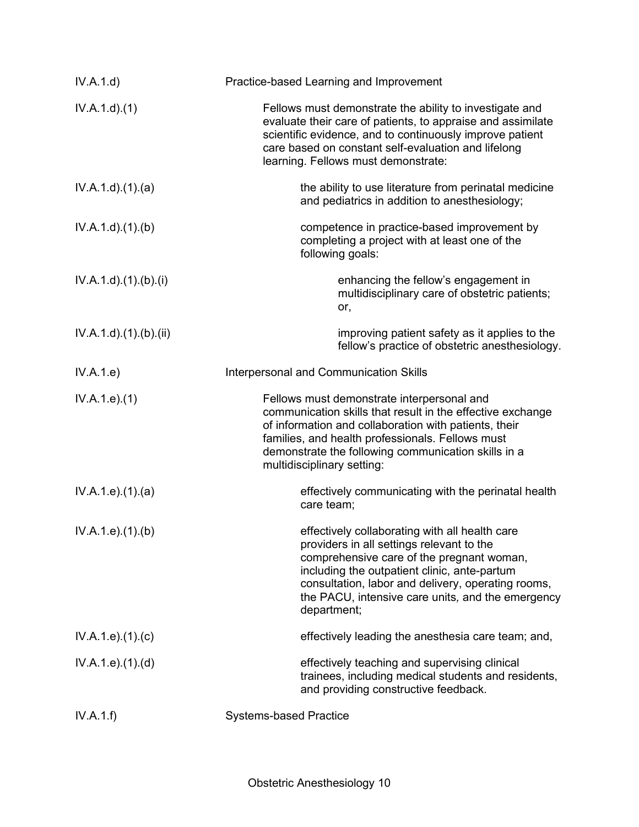| IV.A.1.d)                         | Practice-based Learning and Improvement                                                                                                                                                                                                                                                                            |
|-----------------------------------|--------------------------------------------------------------------------------------------------------------------------------------------------------------------------------------------------------------------------------------------------------------------------------------------------------------------|
| IV.A.1.d.(1)                      | Fellows must demonstrate the ability to investigate and<br>evaluate their care of patients, to appraise and assimilate<br>scientific evidence, and to continuously improve patient<br>care based on constant self-evaluation and lifelong<br>learning. Fellows must demonstrate:                                   |
| IV.A.1.d.(1).(a)                  | the ability to use literature from perinatal medicine<br>and pediatrics in addition to anesthesiology;                                                                                                                                                                                                             |
| IV.A.1.d)(1)(b)                   | competence in practice-based improvement by<br>completing a project with at least one of the<br>following goals:                                                                                                                                                                                                   |
| IV.A.1.d) (1). (b). (i)           | enhancing the fellow's engagement in<br>multidisciplinary care of obstetric patients;<br>or,                                                                                                                                                                                                                       |
| $IV.A.1.d$ . $(1).$ $(b).$ $(ii)$ | improving patient safety as it applies to the<br>fellow's practice of obstetric anesthesiology.                                                                                                                                                                                                                    |
| IV.A.1.e)                         | Interpersonal and Communication Skills                                                                                                                                                                                                                                                                             |
| IV.A.1.e. (1)                     | Fellows must demonstrate interpersonal and<br>communication skills that result in the effective exchange<br>of information and collaboration with patients, their<br>families, and health professionals. Fellows must<br>demonstrate the following communication skills in a<br>multidisciplinary setting:         |
| IV.A.1.e. (1). (a)                | effectively communicating with the perinatal health<br>care team;                                                                                                                                                                                                                                                  |
| IV.A.1.e. (1)(b)                  | effectively collaborating with all health care<br>providers in all settings relevant to the<br>comprehensive care of the pregnant woman,<br>including the outpatient clinic, ante-partum<br>consultation, labor and delivery, operating rooms,<br>the PACU, intensive care units, and the emergency<br>department; |
| IV.A.1.e. (1). (c)                | effectively leading the anesthesia care team; and,                                                                                                                                                                                                                                                                 |
| IV.A.1.e. (1). (d)                | effectively teaching and supervising clinical<br>trainees, including medical students and residents,<br>and providing constructive feedback.                                                                                                                                                                       |
| IV.A.1.f)                         | <b>Systems-based Practice</b>                                                                                                                                                                                                                                                                                      |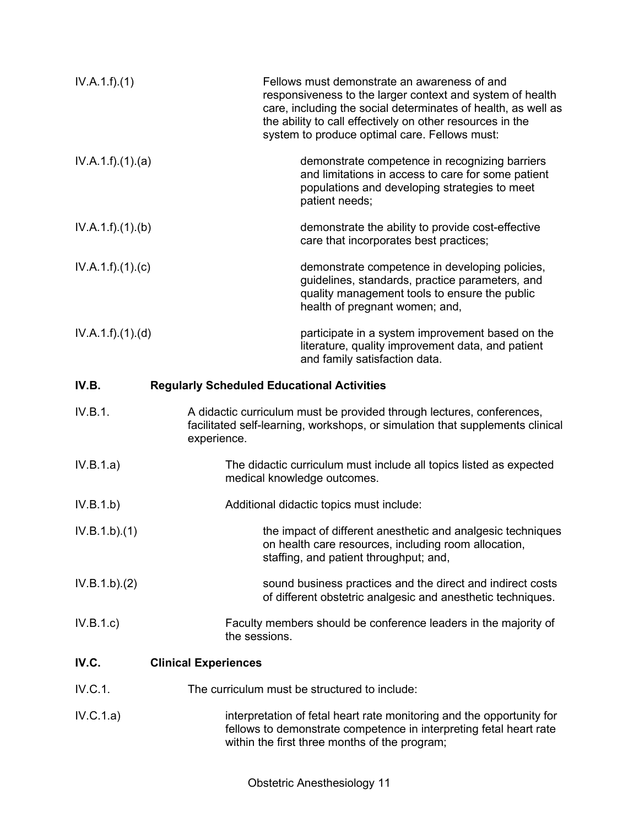| IV.A.1.f)(1)    | Fellows must demonstrate an awareness of and<br>responsiveness to the larger context and system of health<br>care, including the social determinates of health, as well as<br>the ability to call effectively on other resources in the<br>system to produce optimal care. Fellows must: |
|-----------------|------------------------------------------------------------------------------------------------------------------------------------------------------------------------------------------------------------------------------------------------------------------------------------------|
| IV.A.1.f)(1)(a) | demonstrate competence in recognizing barriers<br>and limitations in access to care for some patient<br>populations and developing strategies to meet<br>patient needs;                                                                                                                  |
| IV.A.1.f)(1)(b) | demonstrate the ability to provide cost-effective<br>care that incorporates best practices;                                                                                                                                                                                              |
| IV.A.1.f)(1)(c) | demonstrate competence in developing policies,<br>guidelines, standards, practice parameters, and<br>quality management tools to ensure the public<br>health of pregnant women; and,                                                                                                     |
| IV.A.1.f)(1)(d) | participate in a system improvement based on the<br>literature, quality improvement data, and patient<br>and family satisfaction data.                                                                                                                                                   |
| IV.B.           | <b>Regularly Scheduled Educational Activities</b>                                                                                                                                                                                                                                        |
| IV.B.1.         | A didactic curriculum must be provided through lectures, conferences,<br>facilitated self-learning, workshops, or simulation that supplements clinical<br>experience.                                                                                                                    |
| IV.B.1.a)       | The didactic curriculum must include all topics listed as expected<br>medical knowledge outcomes.                                                                                                                                                                                        |
| IV.B.1.b)       | Additional didactic topics must include:                                                                                                                                                                                                                                                 |
| IV.B.1.b)(1)    | the impact of different anesthetic and analgesic techniques<br>on health care resources, including room allocation,<br>staffing, and patient throughput; and,                                                                                                                            |
| IV.B.1.b)(2)    | sound business practices and the direct and indirect costs<br>of different obstetric analgesic and anesthetic techniques.                                                                                                                                                                |
| IV.B.1.c)       | Faculty members should be conference leaders in the majority of<br>the sessions.                                                                                                                                                                                                         |
| IV.C.           | <b>Clinical Experiences</b>                                                                                                                                                                                                                                                              |
| IV.C.1.         | The curriculum must be structured to include:                                                                                                                                                                                                                                            |
| IV.C.1.a)       | interpretation of fetal heart rate monitoring and the opportunity for<br>fellows to demonstrate competence in interpreting fetal heart rate<br>within the first three months of the program;                                                                                             |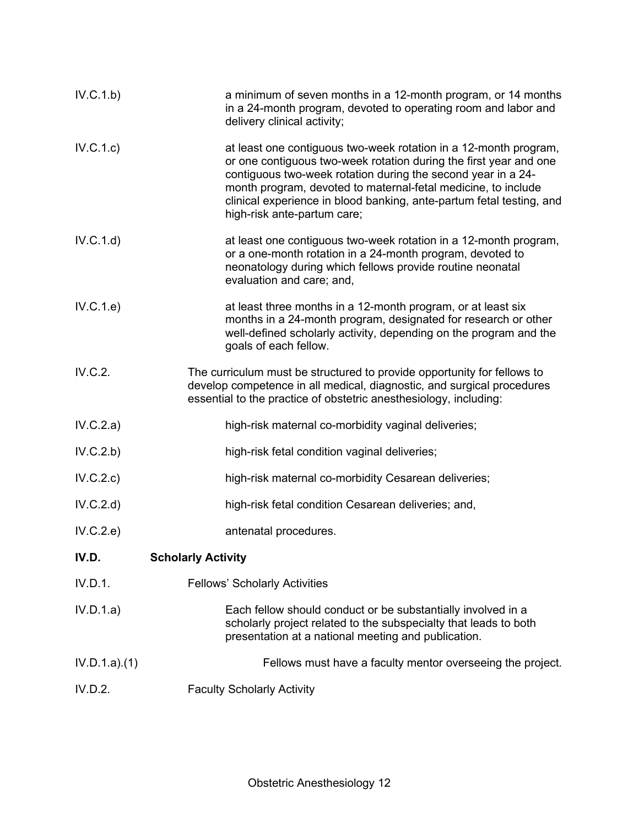| IV.C.1.b)    | a minimum of seven months in a 12-month program, or 14 months<br>in a 24-month program, devoted to operating room and labor and<br>delivery clinical activity;                                                                                                                                                                                                                |
|--------------|-------------------------------------------------------------------------------------------------------------------------------------------------------------------------------------------------------------------------------------------------------------------------------------------------------------------------------------------------------------------------------|
| IV.C.1.c)    | at least one contiguous two-week rotation in a 12-month program,<br>or one contiguous two-week rotation during the first year and one<br>contiguous two-week rotation during the second year in a 24-<br>month program, devoted to maternal-fetal medicine, to include<br>clinical experience in blood banking, ante-partum fetal testing, and<br>high-risk ante-partum care; |
| IV.C.1.d)    | at least one contiguous two-week rotation in a 12-month program,<br>or a one-month rotation in a 24-month program, devoted to<br>neonatology during which fellows provide routine neonatal<br>evaluation and care; and,                                                                                                                                                       |
| IV.C.1.e)    | at least three months in a 12-month program, or at least six<br>months in a 24-month program, designated for research or other<br>well-defined scholarly activity, depending on the program and the<br>goals of each fellow.                                                                                                                                                  |
| IV.C.2.      | The curriculum must be structured to provide opportunity for fellows to<br>develop competence in all medical, diagnostic, and surgical procedures<br>essential to the practice of obstetric anesthesiology, including:                                                                                                                                                        |
| IV.C.2.a)    | high-risk maternal co-morbidity vaginal deliveries;                                                                                                                                                                                                                                                                                                                           |
| IV.C.2.b)    | high-risk fetal condition vaginal deliveries;                                                                                                                                                                                                                                                                                                                                 |
| IV.C.2.c)    | high-risk maternal co-morbidity Cesarean deliveries;                                                                                                                                                                                                                                                                                                                          |
| IV.C.2.d     | high-risk fetal condition Cesarean deliveries; and,                                                                                                                                                                                                                                                                                                                           |
| IV.C.2.e)    | antenatal procedures.                                                                                                                                                                                                                                                                                                                                                         |
| IV.D.        | <b>Scholarly Activity</b>                                                                                                                                                                                                                                                                                                                                                     |
| IV.D.1.      | <b>Fellows' Scholarly Activities</b>                                                                                                                                                                                                                                                                                                                                          |
| IV.D.1.a)    | Each fellow should conduct or be substantially involved in a<br>scholarly project related to the subspecialty that leads to both<br>presentation at a national meeting and publication.                                                                                                                                                                                       |
| IV.D.1.a)(1) | Fellows must have a faculty mentor overseeing the project.                                                                                                                                                                                                                                                                                                                    |
| IV.D.2.      | <b>Faculty Scholarly Activity</b>                                                                                                                                                                                                                                                                                                                                             |